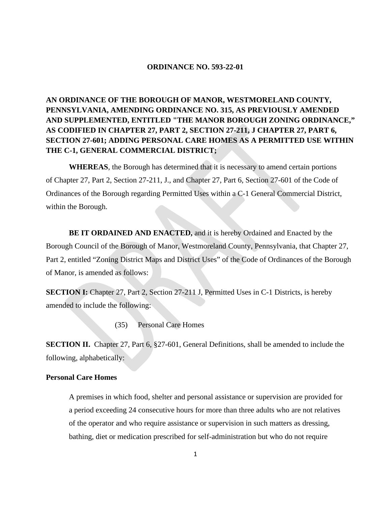## **ORDINANCE NO. 593-22-01**

**AN ORDINANCE OF THE BOROUGH OF MANOR, WESTMORELAND COUNTY, PENNSYLVANIA, AMENDING ORDINANCE NO. 315, AS PREVIOUSLY AMENDED AND SUPPLEMENTED, ENTITLED "THE MANOR BOROUGH ZONING ORDINANCE," AS CODIFIED IN CHAPTER 27, PART 2, SECTION 27-211, J CHAPTER 27, PART 6, SECTION 27-601; ADDING PERSONAL CARE HOMES AS A PERMITTED USE WITHIN THE C-1, GENERAL COMMERCIAL DISTRICT;** 

**WHEREAS**, the Borough has determined that it is necessary to amend certain portions of Chapter 27, Part 2, Section 27-211, J., and Chapter 27, Part 6, Section 27-601 of the Code of Ordinances of the Borough regarding Permitted Uses within a C-1 General Commercial District, within the Borough.

**BE IT ORDAINED AND ENACTED,** and it is hereby Ordained and Enacted by the Borough Council of the Borough of Manor, Westmoreland County, Pennsylvania, that Chapter 27, Part 2, entitled "Zoning District Maps and District Uses" of the Code of Ordinances of the Borough of Manor, is amended as follows:

**SECTION I:** Chapter 27, Part 2, Section 27-211 J, Permitted Uses in C-1 Districts, is hereby amended to include the following:

(35) Personal Care Homes

**SECTION II.** Chapter 27, Part 6, §27-601, General Definitions, shall be amended to include the following, alphabetically:

## **Personal Care Homes**

A premises in which food, shelter and personal assistance or supervision are provided for a period exceeding 24 consecutive hours for more than three adults who are not relatives of the operator and who require assistance or supervision in such matters as dressing, bathing, diet or medication prescribed for self-administration but who do not require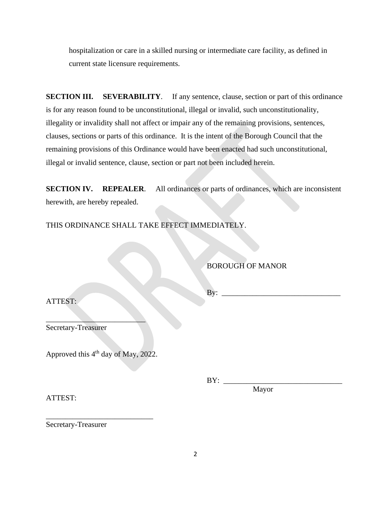hospitalization or care in a skilled nursing or intermediate care facility, as defined in current state licensure requirements.

**SECTION III.** SEVERABILITY. If any sentence, clause, section or part of this ordinance is for any reason found to be unconstitutional, illegal or invalid, such unconstitutionality, illegality or invalidity shall not affect or impair any of the remaining provisions, sentences, clauses, sections or parts of this ordinance. It is the intent of the Borough Council that the remaining provisions of this Ordinance would have been enacted had such unconstitutional, illegal or invalid sentence, clause, section or part not been included herein.

**SECTION IV.** REPEALER. All ordinances or parts of ordinances, which are inconsistent herewith, are hereby repealed.

THIS ORDINANCE SHALL TAKE EFFECT IMMEDIATELY.

BOROUGH OF MANOR

ATTEST:

 $By:$ 

Secretary-Treasurer

Approved this 4<sup>th</sup> day of May, 2022.

\_\_\_\_\_\_\_\_\_\_\_\_\_\_\_\_\_\_\_\_\_\_\_\_\_\_\_\_

 $\mathcal{L}$  , we can also the contract of  $\mathcal{L}$ 

BY: \_\_\_\_\_\_\_\_\_\_\_\_\_\_\_\_\_\_\_\_\_\_\_\_\_\_\_\_\_\_\_

Mayor

ATTEST:

Secretary-Treasurer